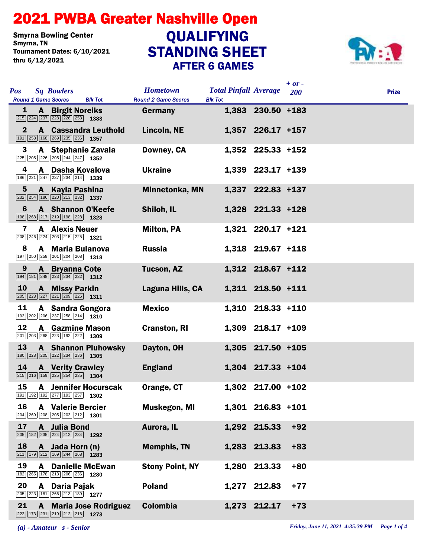## STANDING SHEET 2021 PWBA Greater Nashville Open AFTER 6 GAMES Smyrna Bowling Center<br>Smyrna, TN Tournament Dates: 6/10/2021 thru 6/12/2021 QUALIFYING



| <b>Pos</b><br><b>Round 1 Game Scores</b> | <b>Sq Bowlers</b><br><b>Blk Tot</b>                                                                                        | <b>Hometown</b><br><b>Round 2 Game Scores</b> | <b>Total Pinfall Average</b><br><b>Blk Tot</b> |                   | $+ or -$<br>200 | <b>Prize</b> |
|------------------------------------------|----------------------------------------------------------------------------------------------------------------------------|-----------------------------------------------|------------------------------------------------|-------------------|-----------------|--------------|
| 1                                        | <b>A</b> Birgit Noreiks<br>$\boxed{215}$ $\boxed{224}$ $\boxed{237}$ $\boxed{228}$ $\boxed{226}$ $\boxed{253}$ <b>1383</b> | Germany                                       |                                                | 1,383 230.50 +183 |                 |              |
| $\mathbf{2}$                             | <b>A</b> Cassandra Leuthold<br>191 258 168 269 235 236 1357                                                                | Lincoln, NE                                   |                                                | 1,357 226.17 +157 |                 |              |
| 3                                        | A Stephanie Zavala<br>225 205 226 205 244 247 1352                                                                         | Downey, CA                                    |                                                | 1,352 225.33 +152 |                 |              |
| 4                                        | A Dasha Kovalova<br>186 221 247 237 234 214 1339                                                                           | <b>Ukraine</b>                                |                                                | 1,339 223.17 +139 |                 |              |
| 5                                        | A Kayla Pashina                                                                                                            | Minnetonka, MN                                |                                                | 1,337 222.83 +137 |                 |              |
| 6                                        | <b>A</b> Shannon O'Keefe<br>198 268 217 219 198 228 1328                                                                   | Shiloh, IL                                    |                                                | 1,328 221.33 +128 |                 |              |
| 7                                        | <b>A</b> Alexis Neuer<br>208 246 224 203 215 225 1321                                                                      | <b>Milton, PA</b>                             |                                                | 1,321 220.17 +121 |                 |              |
| 8                                        | A Maria Bulanova<br>$\boxed{197}$ $\boxed{250}$ $\boxed{258}$ $\boxed{201}$ $\boxed{204}$ $\boxed{208}$ 1318               | <b>Russia</b>                                 |                                                | 1,318 219.67 +118 |                 |              |
| 9                                        | <b>A</b> Bryanna Cote<br>$\boxed{194}$ $\boxed{181}$ $\boxed{248}$ $\boxed{223}$ $\boxed{234}$ $\boxed{232}$ <b>1312</b>   | <b>Tucson, AZ</b>                             |                                                | 1,312 218.67 +112 |                 |              |
| <b>10</b>                                | <b>A</b> Missy Parkin<br>205 223 227 221 209 226 1311                                                                      | Laguna Hills, CA                              |                                                | 1,311 218.50 +111 |                 |              |
| 11                                       | A Sandra Gongora<br>193 202 206 237 258 214 1310                                                                           | <b>Mexico</b>                                 |                                                | 1,310 218.33 +110 |                 |              |
| 12                                       | <b>A</b> Gazmine Mason<br>$\boxed{201}$ $\boxed{203}$ $\boxed{268}$ $\boxed{223}$ $\boxed{192}$ $\boxed{222}$ <b>1309</b>  | <b>Cranston, RI</b>                           |                                                | 1,309 218.17 +109 |                 |              |
| 13                                       | <b>A</b> Shannon Pluhowsky<br>180 228 205 222 234 236 1305                                                                 | Dayton, OH                                    |                                                | 1,305 217.50 +105 |                 |              |
| 14                                       | <b>A</b> Verity Crawley<br>$\boxed{215}$ $\boxed{216}$ $\boxed{159}$ $\boxed{225}$ $\boxed{254}$ $\boxed{235}$ <b>1304</b> | <b>England</b>                                |                                                | 1,304 217.33 +104 |                 |              |
| 15                                       | <b>A</b> Jennifer Hocurscak<br>191 192 192 277 193 257 1302                                                                | Orange, CT                                    |                                                | 1,302 217.00 +102 |                 |              |
| 16                                       | <b>A</b> Valerie Bercier<br>204 269 208 205 203 212 1301                                                                   | Muskegon, MI                                  |                                                | 1,301 216.83 +101 |                 |              |
| 17                                       | A Julia Bond<br>205 182 235 224 212 234 1292                                                                               | Aurora, IL                                    |                                                | 1,292 215.33      | $+92$           |              |
| 18                                       | A Jada Horn (n)<br>211 179 212 169 244 268 1283                                                                            | <b>Memphis, TN</b>                            |                                                | 1,283 213.83      | $+83$           |              |
| 19<br>A                                  | <b>Danielle McEwan</b><br>182 265 178 213 206 236 1280                                                                     | <b>Stony Point, NY</b>                        | 1,280                                          | 213.33            | $+80$           |              |
| 20                                       | A Daria Pajak<br>205 223 181 266 213 189 1277                                                                              | <b>Poland</b>                                 |                                                | 1,277 212.83      | $+77$           |              |
| 21                                       | <b>A</b> Maria Jose Rodriguez<br>222 173 231 219 212 216 1273                                                              | <b>Colombia</b>                               |                                                | 1,273 212.17      | $+73$           |              |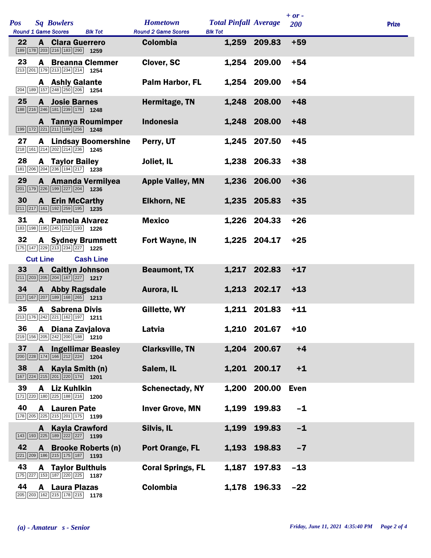|            |                 |                                                                                                                             |                              |                                               |                                                |              | $+ or -$    |              |
|------------|-----------------|-----------------------------------------------------------------------------------------------------------------------------|------------------------------|-----------------------------------------------|------------------------------------------------|--------------|-------------|--------------|
| <b>Pos</b> |                 | <b>Sq Bowlers</b><br><b>Round 1 Game Scores</b>                                                                             | <b>Blk Tot</b>               | <b>Hometown</b><br><b>Round 2 Game Scores</b> | <b>Total Pinfall Average</b><br><b>Blk Tot</b> |              | 200         | <b>Prize</b> |
| 22         |                 | <b>A</b> Clara Guerrero<br>189 178 203 216 183 290 1259                                                                     |                              | Colombia                                      |                                                | 1,259 209.83 | $+59$       |              |
| 23         | A               | $\boxed{213}$ $\boxed{201}$ $\boxed{179}$ $\boxed{213}$ $\boxed{234}$ $\boxed{214}$ <b>1254</b>                             | <b>Breanna Clemmer</b>       | <b>Clover, SC</b>                             |                                                | 1,254 209.00 | $+54$       |              |
|            |                 | <b>A</b> Ashly Galante<br>204 189 157 248 250 206 1254                                                                      |                              | <b>Palm Harbor, FL</b>                        |                                                | 1,254 209.00 | $+54$       |              |
| 25         |                 | <b>A</b> Josie Barnes<br>188 216 246 181 239 178 1248                                                                       |                              | Hermitage, TN                                 |                                                | 1,248 208.00 | $+48$       |              |
|            |                 | 199 172 221 211 189 256 1248                                                                                                | <b>A</b> Tannya Roumimper    | <b>Indonesia</b>                              |                                                | 1,248 208.00 | $+48$       |              |
| 27         |                 | 218 161 214 202 214 236 1245                                                                                                | <b>A</b> Lindsay Boomershine | Perry, UT                                     |                                                | 1,245 207.50 | $+45$       |              |
| 28         |                 | <b>A</b> Taylor Bailey<br>181 206 204 236 194 217 1238                                                                      |                              | Joliet, IL                                    |                                                | 1,238 206.33 | $+38$       |              |
| 29         |                 | 201 179 226 199 227 204 1236                                                                                                | A Amanda Vermilyea           | <b>Apple Valley, MN</b>                       |                                                | 1,236 206.00 | $+36$       |              |
| 30         |                 | <b>A</b> Erin McCarthy<br>$\boxed{211}$ $\boxed{217}$ $\boxed{161}$ $\boxed{192}$ $\boxed{259}$ $\boxed{195}$ <b>1235</b>   |                              | <b>Elkhorn, NE</b>                            |                                                | 1,235 205.83 | $+35$       |              |
| 31         |                 | <b>A</b> Pamela Alvarez<br>183 198 195 245 212 193 1226                                                                     |                              | <b>Mexico</b>                                 |                                                | 1,226 204.33 | $+26$       |              |
| 32         |                 | <b>A</b> Sydney Brummett<br>175 147 229 213 234 227 1225                                                                    |                              | <b>Fort Wayne, IN</b>                         |                                                | 1,225 204.17 | $+25$       |              |
|            | <b>Cut Line</b> |                                                                                                                             | <b>Cash Line</b>             |                                               |                                                |              |             |              |
| 33         |                 | <b>A</b> Caitlyn Johnson<br>$\boxed{211}$ $\boxed{203}$ $\boxed{205}$ $\boxed{204}$ $\boxed{167}$ $\boxed{227}$ <b>1217</b> |                              | <b>Beaumont, TX</b>                           |                                                | 1,217 202.83 | $+17$       |              |
| 34         |                 | A Abby Ragsdale<br>$\boxed{217}$ 167 207 189 168 265 1213                                                                   |                              | Aurora, IL                                    |                                                | 1,213 202.17 | $+13$       |              |
| 35         |                 | <b>A</b> Sabrena Divis<br>213 176 242 221 162 197 1211                                                                      |                              | Gillette, WY                                  |                                                | 1,211 201.83 | $+11$       |              |
|            |                 | 36 A Diana Zavjalova<br>$\boxed{219}$ 156 205 242 200 188 1210                                                              |                              | Latvia                                        |                                                | 1,210 201.67 | $+10$       |              |
| 37         |                 | $\boxed{200}$ $\boxed{228}$ $\boxed{174}$ $\boxed{166}$ $\boxed{212}$ $\boxed{224}$ <b>1204</b>                             | <b>A</b> Ingellimar Beasley  | <b>Clarksville, TN</b>                        |                                                | 1,204 200.67 | $+4$        |              |
| 38         |                 | A Kayla Smith (n)<br>167 224 215 201 220 174 1201                                                                           |                              | Salem, IL                                     |                                                | 1,201 200.17 | $+1$        |              |
| 39         | A               | <b>Liz Kuhlkin</b><br>171 220 180 225 188 216 1200                                                                          |                              | <b>Schenectady, NY</b>                        | 1,200                                          | 200.00       | <b>Even</b> |              |
| 40         |                 | <b>A</b> Lauren Pate<br>$\boxed{178}\boxed{205}\boxed{225}\boxed{215}\boxed{201}\boxed{175}$ 1199                           |                              | <b>Inver Grove, MN</b>                        |                                                | 1,199 199.83 | $-1$        |              |
|            | A               | <b>Kayla Crawford</b><br>$\boxed{143}$ $\boxed{193}$ $\boxed{225}$ $\boxed{189}$ $\boxed{222}$ $\boxed{227}$ 1199           |                              | Silvis, IL                                    | 1,199                                          | 199.83       | $-1$        |              |
| 42         |                 | 221 209 186 215 175 187 193                                                                                                 | A Brooke Roberts (n)         | Port Orange, FL                               |                                                | 1,193 198.83 | $-7$        |              |
| 43         |                 | <b>A</b> Taylor Bulthuis<br>175 227 153 187 220 225 1187                                                                    |                              | <b>Coral Springs, FL</b>                      | 1,187                                          | 197.83       | $-13$       |              |
| 44         | A               | <b>Laura Plazas</b><br>205 203 162 215 178 215 178                                                                          |                              | <b>Colombia</b>                               |                                                | 1,178 196.33 | $-22$       |              |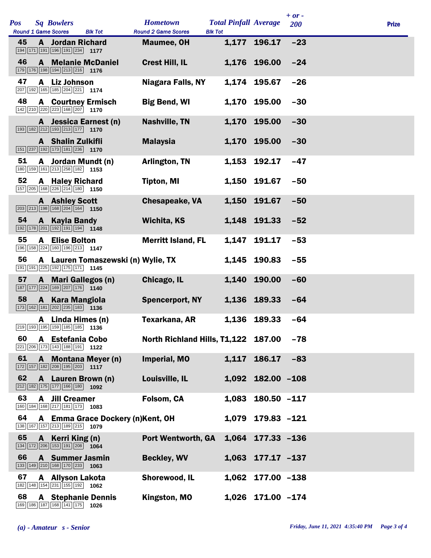| Pos |              | <b>Sq Bowlers</b>                                                                                                         |                                    | <b>Hometown</b>                     | <b>Total Pinfall Average</b> |                   | $+ or -$<br>200 | <b>Prize</b> |
|-----|--------------|---------------------------------------------------------------------------------------------------------------------------|------------------------------------|-------------------------------------|------------------------------|-------------------|-----------------|--------------|
| 45  |              | <b>Round 1 Game Scores</b>                                                                                                | <b>Blk Tot</b>                     | <b>Round 2 Game Scores</b>          | <b>Blk Tot</b>               |                   | $-23$           |              |
|     | A            | <b>Jordan Richard</b><br>194 171 191 196 191 234 1177                                                                     |                                    | <b>Maumee, OH</b>                   |                              | 1,177 196.17      |                 |              |
| 46  |              | 179 176 198 194 213 216 1176                                                                                              | <b>A</b> Melanie McDaniel          | <b>Crest Hill, IL</b>               |                              | 1,176 196.00      | $-24$           |              |
| 47  | A            | <b>Liz Johnson</b><br>207 192 165 185 204 221 174                                                                         |                                    | <b>Niagara Falls, NY</b>            |                              | 1,174 195.67      | $-26$           |              |
| 48  |              | <b>A</b> Courtney Ermisch<br>$\boxed{142}\boxed{210}\boxed{220}\boxed{223}\boxed{168}\boxed{207}$ 1170                    |                                    | <b>Big Bend, WI</b>                 |                              | 1,170 195.00      | $-30$           |              |
|     |              | $\boxed{193}$ $\boxed{182}$ $\boxed{212}$ $\boxed{193}$ $\boxed{213}$ $\boxed{177}$ <b>1170</b>                           | A Jessica Earnest (n)              | <b>Nashville, TN</b>                |                              | 1,170 195.00      | $-30$           |              |
|     |              | A Shalin Zulkifli<br>151 237 192 173 181 236 1170                                                                         |                                    | <b>Malaysia</b>                     |                              | 1,170 195.00      | $-30$           |              |
| 51  |              | A Jordan Mundt (n)<br>180 159 161 213 258 182 1153                                                                        |                                    | Arlington, TN                       |                              | 1,153 192.17      | $-47$           |              |
| 52  |              | <b>A</b> Haley Richard<br>157 205 168 226 214 180 1150                                                                    |                                    | <b>Tipton, MI</b>                   |                              | 1,150 191.67      | $-50$           |              |
|     |              | A Ashley Scott<br>$\boxed{203}$ $\boxed{213}$ $\boxed{198}$ $\boxed{168}$ $\boxed{204}$ $\boxed{164}$ <b>1150</b>         |                                    | <b>Chesapeake, VA</b>               |                              | 1,150 191.67      | $-50$           |              |
| 54  |              | A Kayla Bandy<br>$\boxed{192}$ $\boxed{178}$ $\boxed{201}$ $\boxed{192}$ $\boxed{191}$ $\boxed{194}$ <b>1148</b>          |                                    | Wichita, KS                         |                              | 1,148 191.33      | $-52$           |              |
| 55  | A            | <b>Elise Bolton</b><br>196 158 224 160 196 213 1147                                                                       |                                    | <b>Merritt Island, FL</b>           |                              | 1,147 191.17      | $-53$           |              |
| 56  |              | 191 191 225 192 175 171 1145                                                                                              | A Lauren Tomaszewski (n) Wylie, TX |                                     |                              | 1,145 190.83      | $-55$           |              |
| 57  | $\mathbf{A}$ | <b>Mari Gallegos (n)</b><br>187 177 224 169 207 176 1140                                                                  |                                    | Chicago, IL                         |                              | 1,140 190.00      | $-60$           |              |
| 58  |              | A Kara Mangiola<br>173 162 181 202 235 183 136                                                                            |                                    | <b>Spencerport, NY</b>              |                              | 1,136 189.33      | $-64$           |              |
|     |              | A Linda Himes (n)<br>219 193 195 159 185 185 1136                                                                         |                                    | <b>Texarkana, AR</b>                |                              | 1,136 189.33      | $-64$           |              |
| 60  |              | A Estefania Cobo<br>$\boxed{221}$ $\boxed{206}$ $\boxed{173}$ $\boxed{143}$ $\boxed{188}$ $\boxed{191}$ <b>1122</b>       |                                    | North Richland Hills, T1,122 187.00 |                              |                   | $-78$           |              |
| 61  |              | $\boxed{172}$ $\boxed{157}$ $\boxed{182}$ $\boxed{208}$ $\boxed{195}$ $\boxed{203}$ <b>1117</b>                           | A Montana Meyer (n)                | Imperial, MO                        | 1,117                        | 186.17            | $-83$           |              |
| 62  |              | A Lauren Brown (n)<br>212 182 175 177 166 180 1092                                                                        |                                    | Louisville, IL                      |                              | 1,092 182.00 -108 |                 |              |
| 63  |              | <b>A</b> Jill Creamer<br>160 184 168 217 181 173 1083                                                                     |                                    | Folsom, CA                          | 1,083                        | $180.50 - 117$    |                 |              |
| 64  |              | 138 167 157 213 189 215 1079                                                                                              | A Emma Grace Dockery (n)Kent, OH   |                                     |                              | 1,079 179.83 -121 |                 |              |
| 65  |              | A Kerri King (n)<br>$\boxed{134}$ $\boxed{172}$ $\boxed{206}$ $\boxed{153}$ $\boxed{191}$ $\boxed{208}$ $\boxed{1064}$    |                                    | Port Wentworth, GA                  |                              | 1,064 177.33 -136 |                 |              |
| 66  |              | <b>A</b> Summer Jasmin<br>$\boxed{133}$ $\boxed{149}$ $\boxed{210}$ $\boxed{168}$ $\boxed{170}$ $\boxed{233}$ <b>1063</b> |                                    | <b>Beckley, WV</b>                  |                              | 1,063 177.17 -137 |                 |              |
| 67  |              | <b>A</b> Allyson Lakota<br>182 148 154 231 155 192 1062                                                                   |                                    | Shorewood, IL                       |                              | 1,062 177.00 -138 |                 |              |
| 68  | A            | 169 186 187 168 141 175 1026                                                                                              | <b>Stephanie Dennis</b>            | Kingston, MO                        |                              | 1,026 171.00 -174 |                 |              |